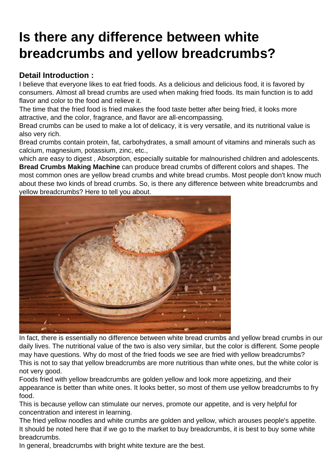## [Is there any difference between white](https://www.foodmachineryint.com/news/is-there-any-difference-between-white-breadcrumbs-and-yellow-breadcrumbs.html) breadcrumbs and yellow breadcrumbs?

Detail Introduction :

I believe that everyone likes to eat fried foods. As a delicious and delicious food, it is favored by consumers. Almost all bread crumbs are used when making fried foods. Its main function is to add flavor and color to the food and relieve it.

The time that the fried food is fried makes the food taste better after being fried, it looks more attractive, and the color, fragrance, and flavor are all-encompassing.

Bread crumbs can be used to make a lot of delicacy, it is very versatile, and its nutritional value is also very rich.

Bread crumbs contain protein, fat, carbohydrates, a small amount of vitamins and minerals such as calcium, magnesium, potassium, zinc, etc.,

which are easy to digest , Absorption, especially suitable for malnourished children and adolescents. Bread Crumbs Making Machine can produce bread crumbs of different colors and shapes. The most common ones are yellow bread crumbs and white bread crumbs. Most people don't know much about these two kinds of bread crumbs. So, is there any difference between white breadcrumbs and yellow breadcrumbs? Here to tell you about.

In fact, there is essentially no difference between white bread crumbs and yellow bread crumbs in our daily lives. The nutritional value of the two is also very similar, but the color is different. Some people may have questions. Why do most of the fried foods we see are fried with yellow breadcrumbs? This is not to say that yellow breadcrumbs are more nutritious than white ones, but the white color is not very good.

Foods fried with yellow breadcrumbs are golden yellow and look more appetizing, and their appearance is better than white ones. It looks better, so most of them use yellow breadcrumbs to fry food.

This is because yellow can stimulate our nerves, promote our appetite, and is very helpful for concentration and interest in learning.

The fried yellow noodles and white crumbs are golden and yellow, which arouses people's appetite. It should be noted here that if we go to the market to buy breadcrumbs, it is best to buy some white breadcrumbs.

In general, breadcrumbs with bright white texture are the best.